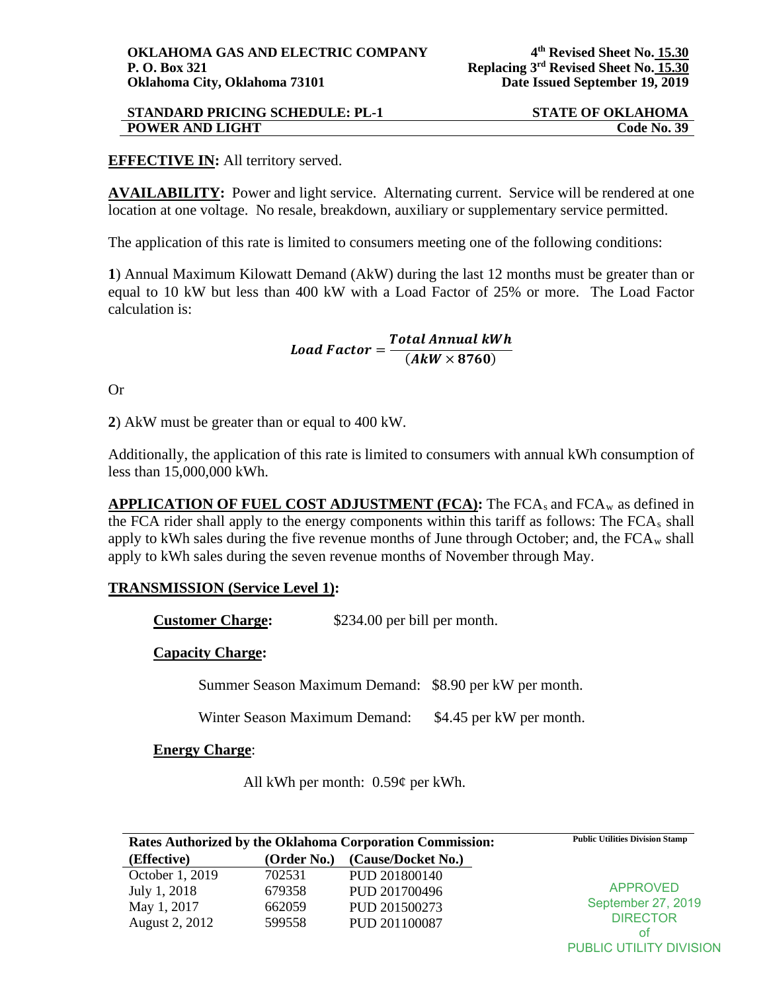| <b>STANDARD PRICING SCHEDULE: PL-1</b> | <b>STATE OF OKLAHOMA</b> |
|----------------------------------------|--------------------------|
| <b>POWER AND LIGHT</b>                 | <b>Code No. 39</b>       |

# **EFFECTIVE IN:** All territory served.

**AVAILABILITY:** Power and light service. Alternating current. Service will be rendered at one location at one voltage. No resale, breakdown, auxiliary or supplementary service permitted.

The application of this rate is limited to consumers meeting one of the following conditions:

**1**) Annual Maximum Kilowatt Demand (AkW) during the last 12 months must be greater than or equal to 10 kW but less than 400 kW with a Load Factor of 25% or more. The Load Factor calculation is:

Load Factor =  $\frac{Total \, Annual \, KWh}{(A k W \times 8760)}$ 

Or

**2**) AkW must be greater than or equal to 400 kW.

Additionally, the application of this rate is limited to consumers with annual kWh consumption of less than 15,000,000 kWh.

**APPLICATION OF FUEL COST ADJUSTMENT (FCA): The FCA<sub>s</sub> and FCA<sub>w</sub> as defined in** the FCA rider shall apply to the energy components within this tariff as follows: The FCAs shall apply to kWh sales during the five revenue months of June through October; and, the  $FCA_w$  shall apply to kWh sales during the seven revenue months of November through May.

### **TRANSMISSION (Service Level 1):**

**Customer Charge:** \$234.00 per bill per month.

### **Capacity Charge:**

Summer Season Maximum Demand: \$8.90 per kW per month.

Winter Season Maximum Demand: \$4.45 per kW per month.

### **Energy Charge**:

All kWh per month: 0.59¢ per kWh.

| Rates Authorized by the Oklahoma Corporation Commission: |             |                    | <b>Public Utilities Division Stamp</b> |
|----------------------------------------------------------|-------------|--------------------|----------------------------------------|
| (Effective)                                              | (Order No.) | (Cause/Docket No.) |                                        |
| October 1, 2019                                          | 702531      | PUD 201800140      |                                        |
| July 1, 2018                                             | 679358      | PUD 201700496      | <b>APPROVED</b><br>September 27, 2019  |
| May 1, 2017                                              | 662059      | PUD 201500273      |                                        |
| August 2, 2012                                           | 599558      | PUD 201100087      | <b>DIRECTOR</b>                        |
|                                                          |             |                    | ot                                     |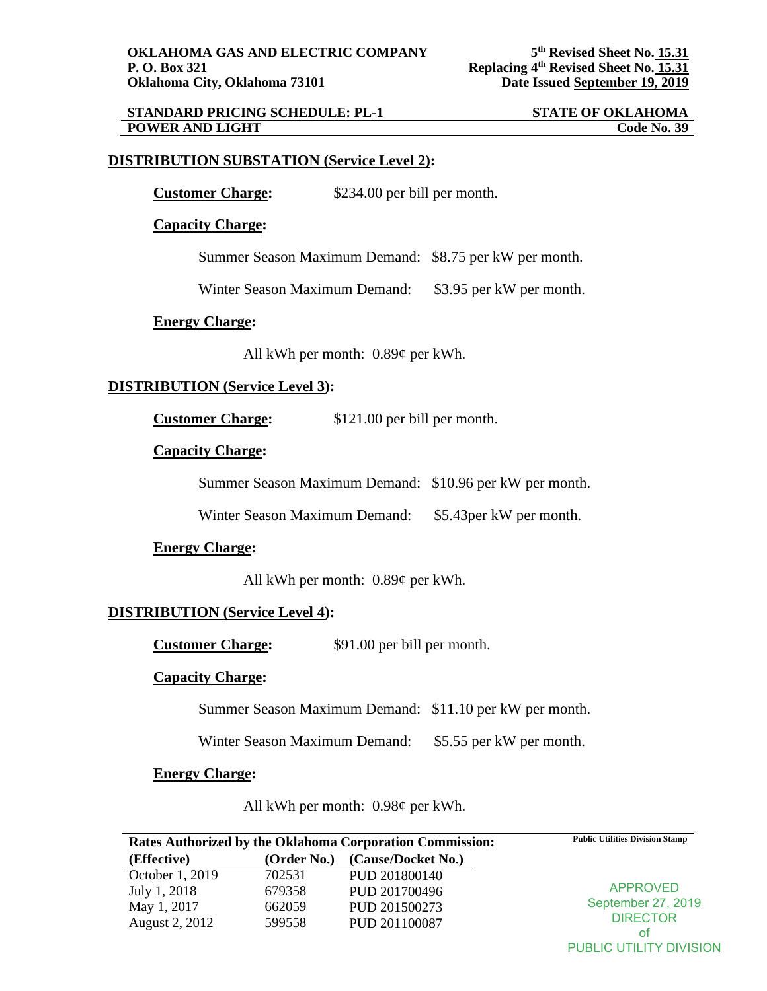# **STANDARD PRICING SCHEDULE: PL-1 STATE OF OKLAHOMA**<br>**POWER AND LIGHT** Code No. 39 **POWER AND LIGHT**

# **DISTRIBUTION SUBSTATION (Service Level 2):**

**Customer Charge:**  $$234.00$  per bill per month.

**Capacity Charge:**

Summer Season Maximum Demand: \$8.75 per kW per month.

Winter Season Maximum Demand: \$3.95 per kW per month.

#### **Energy Charge:**

All kWh per month: 0.89¢ per kWh.

# **DISTRIBUTION (Service Level 3):**

**Customer Charge:** \$121.00 per bill per month.

#### **Capacity Charge:**

Summer Season Maximum Demand: \$10.96 per kW per month.

Winter Season Maximum Demand: \$5.43per kW per month.

### **Energy Charge:**

All kWh per month: 0.89¢ per kWh.

### **DISTRIBUTION (Service Level 4):**

**Customer Charge:**  $$91.00$  per bill per month.

#### **Capacity Charge:**

Summer Season Maximum Demand: \$11.10 per kW per month.

Winter Season Maximum Demand: \$5.55 per kW per month.

#### **Energy Charge:**

All kWh per month: 0.98¢ per kWh.

| Rates Authorized by the Oklahoma Corporation Commission: |             | <b>Public Utilities Division Stamp</b> |                    |
|----------------------------------------------------------|-------------|----------------------------------------|--------------------|
| (Effective)                                              | (Order No.) | (Cause/Docket No.)                     |                    |
| October 1, 2019                                          | 702531      | PUD 201800140                          |                    |
| July 1, 2018                                             | 679358      | PUD 201700496                          | <b>APPROVED</b>    |
| May 1, 2017                                              | 662059      | PUD 201500273                          | September 27, 2019 |
| August 2, 2012                                           | 599558      | PUD 201100087                          | <b>DIRECTOR</b>    |
|                                                          |             |                                        | Οt                 |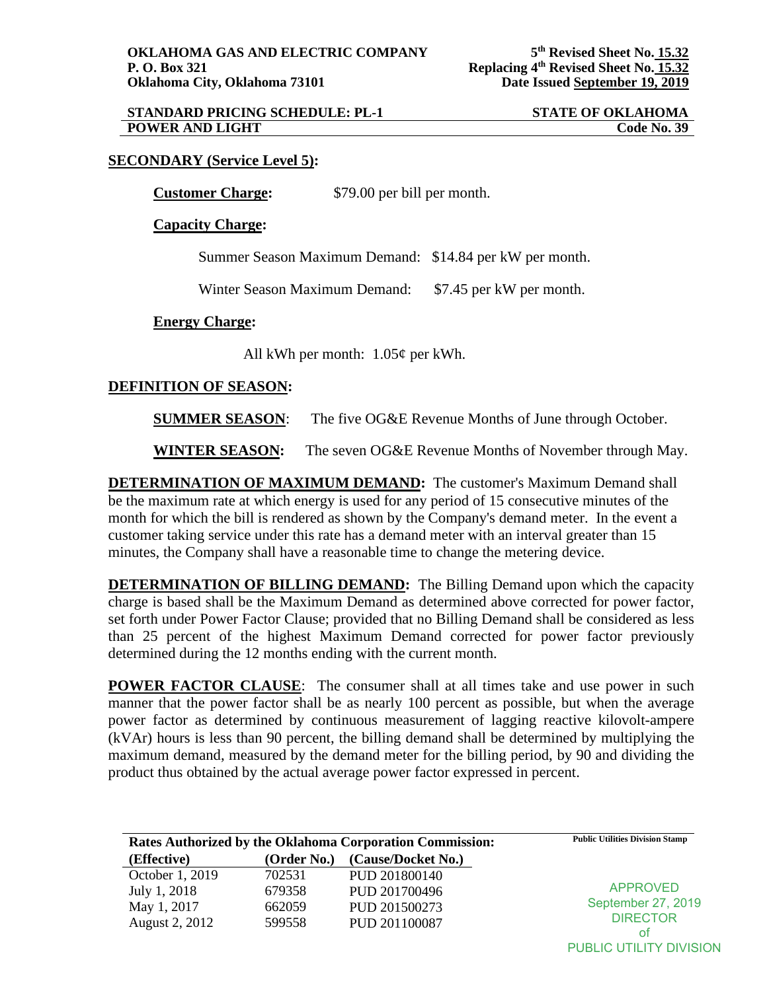| <b>STANDARD PRICING SCHEDULE: PL-1</b> | <b>STATE OF OKLAHOMA</b> |
|----------------------------------------|--------------------------|
| <b>POWER AND LIGHT</b>                 | <b>Code No. 39</b>       |

# **SECONDARY (Service Level 5):**

**Customer Charge:** \$79.00 per bill per month.

**Capacity Charge:**

Summer Season Maximum Demand: \$14.84 per kW per month.

Winter Season Maximum Demand: \$7.45 per kW per month.

**Energy Charge:**

All kWh per month: 1.05¢ per kWh.

# **DEFINITION OF SEASON:**

**SUMMER SEASON:** The five OG&E Revenue Months of June through October.

**WINTER SEASON:** The seven OG&E Revenue Months of November through May.

**DETERMINATION OF MAXIMUM DEMAND:** The customer's Maximum Demand shall be the maximum rate at which energy is used for any period of 15 consecutive minutes of the month for which the bill is rendered as shown by the Company's demand meter. In the event a customer taking service under this rate has a demand meter with an interval greater than 15 minutes, the Company shall have a reasonable time to change the metering device.

**DETERMINATION OF BILLING DEMAND:** The Billing Demand upon which the capacity charge is based shall be the Maximum Demand as determined above corrected for power factor, set forth under Power Factor Clause; provided that no Billing Demand shall be considered as less than 25 percent of the highest Maximum Demand corrected for power factor previously determined during the 12 months ending with the current month.

**POWER FACTOR CLAUSE:** The consumer shall at all times take and use power in such manner that the power factor shall be as nearly 100 percent as possible, but when the average power factor as determined by continuous measurement of lagging reactive kilovolt-ampere (kVAr) hours is less than 90 percent, the billing demand shall be determined by multiplying the maximum demand, measured by the demand meter for the billing period, by 90 and dividing the product thus obtained by the actual average power factor expressed in percent.

| Rates Authorized by the Oklahoma Corporation Commission: |             |                    | <b>Public Utilities Division Stamp</b> |
|----------------------------------------------------------|-------------|--------------------|----------------------------------------|
| (Effective)                                              | (Order No.) | (Cause/Docket No.) |                                        |
| October 1, 2019                                          | 702531      | PUD 201800140      |                                        |
| July 1, 2018                                             | 679358      | PUD 201700496      | APPROVED                               |
| May 1, 2017                                              | 662059      | PUD 201500273      | September 27, 2019                     |
| August 2, 2012                                           | 599558      | PUD 201100087      | <b>DIRECTOR</b>                        |
|                                                          |             |                    | οt                                     |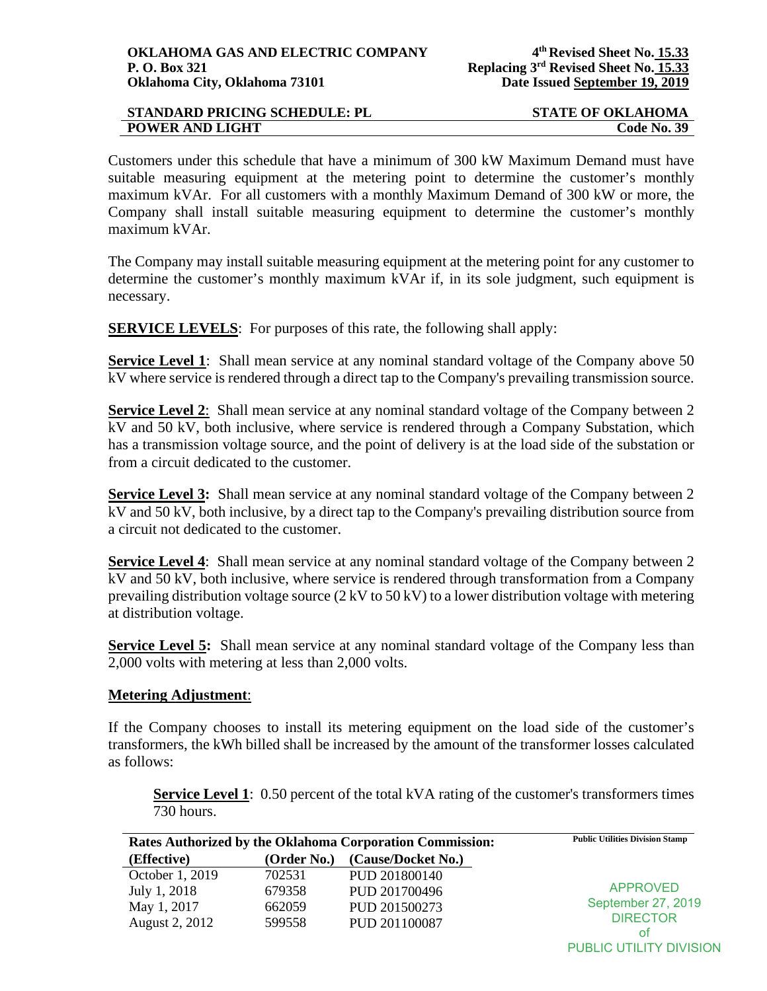| <b>STANDARD PRICING SCHEDULE: PL</b> | <b>STATE OF OKLAHOMA</b> |
|--------------------------------------|--------------------------|
| <b>POWER AND LIGHT</b>               | <b>Code No. 39</b>       |

Customers under this schedule that have a minimum of 300 kW Maximum Demand must have suitable measuring equipment at the metering point to determine the customer's monthly maximum kVAr. For all customers with a monthly Maximum Demand of 300 kW or more, the Company shall install suitable measuring equipment to determine the customer's monthly maximum kVAr.

The Company may install suitable measuring equipment at the metering point for any customer to determine the customer's monthly maximum kVAr if, in its sole judgment, such equipment is necessary.

**SERVICE LEVELS:** For purposes of this rate, the following shall apply:

**Service Level 1**: Shall mean service at any nominal standard voltage of the Company above 50 kV where service is rendered through a direct tap to the Company's prevailing transmission source.

**Service Level 2:** Shall mean service at any nominal standard voltage of the Company between 2 kV and 50 kV, both inclusive, where service is rendered through a Company Substation, which has a transmission voltage source, and the point of delivery is at the load side of the substation or from a circuit dedicated to the customer.

**Service Level 3:** Shall mean service at any nominal standard voltage of the Company between 2 kV and 50 kV, both inclusive, by a direct tap to the Company's prevailing distribution source from a circuit not dedicated to the customer.

**Service Level 4:** Shall mean service at any nominal standard voltage of the Company between 2 kV and 50 kV, both inclusive, where service is rendered through transformation from a Company prevailing distribution voltage source (2 kV to 50 kV) to a lower distribution voltage with metering at distribution voltage.

**Service Level 5:** Shall mean service at any nominal standard voltage of the Company less than 2,000 volts with metering at less than 2,000 volts.

# **Metering Adjustment**:

If the Company chooses to install its metering equipment on the load side of the customer's transformers, the kWh billed shall be increased by the amount of the transformer losses calculated as follows:

**Service Level 1**: 0.50 percent of the total kVA rating of the customer's transformers times 730 hours.

| Rates Authorized by the Oklahoma Corporation Commission: |             |                    | <b>Public Utilities Division Stamp</b> |
|----------------------------------------------------------|-------------|--------------------|----------------------------------------|
| (Effective)                                              | (Order No.) | (Cause/Docket No.) |                                        |
| October 1, 2019                                          | 702531      | PUD 201800140      |                                        |
| July 1, 2018                                             | 679358      | PUD 201700496      | <b>APPROVED</b>                        |
| May 1, 2017                                              | 662059      | PUD 201500273      | September 27, 2019                     |
| August 2, 2012                                           | 599558      | PUD 201100087      | <b>DIRECTOR</b>                        |
|                                                          |             |                    | Οt                                     |